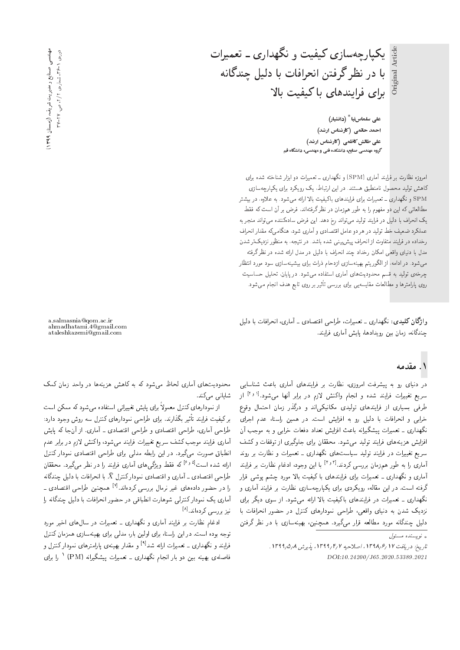یکپارچەسازی کیفیت و نگهداری ـ تعمیرات Article Original Article  $\sin \frac{1}{2}$ با در نظر گرفتن انحرافات با دلیل چندگانه

برای فرایندهای با کیفیت بالا على سلماسiيا<sup>\*</sup> (دانشيار) احمد حاتمی (کارشناس ارشد) على طالش كاظمى (كارشناس ارشد)

گروه مهندسی صنایع، دانشکده فنی و مهندسی، دانشگاه قم

|مروزه نظارت بر فرایند آماری (SPM) و نگهداری ــ تعمیرات دو ابزار شناخته شده برای کاهش تولید محصول نامنطبق هستند. در این ارتباط، یک رویکرد برای یکیارچهسازی و نگهداری ــ تعمیرات برای فرایندهای باکیفیت بالا ارائه می شود. به علاوه، در بیشتر  ${\rm SPM}$ مطالعاتی که این دو مفهوم را به طور همزمان در نظر گرفتهاند، فرض بر آن است که فقط يک انحراف با دليل در فرايند توليد مبي تواند رخ دهد. اين فرض سادهکننده مي تواند منجر به عملكرد ضعيف خط توليد در هر دو عامل اقتصادى و أمارى شود، هنگامى، مقدار انحراف رخداده در فرایند متفاوت از انحراف پیش بینی شده باشد. در نتیجه، به منظور نزدیک تر شدن مدل با دنیای واقعی امکان رخداد چند انحراف با دلیل در مدل ارائه شده در نظر گرفته میشود. در ادامه، از الگوریتم بهینهسازی ازدحام ذرات برای بیشینهسازی سود مورد انتظار چرخهی تولید به قسم محدودیت های آماری استفاده می شود. در پایان، تحلیل حساسیت روی پارامترها و مطالعات مقایسهیی برای بررسی تاثیر بر روی تابع هدف انجام می شود.<br>.

وا**ژگان کلیدی**: نگهداری ـ تعمیرات، طراحی اقتصادی ـ آماری، انحرافات با دلیل چندگانه، زمان بین رویدادها، پایش آماری فرایند.

### ۱. مقدمه

در دنیای رو به پیشرفت امروزی، نظارت بر فرایندهای آماری باعث شناسایی سریع تغییرات فرایند شده و انجام واکنش لازم در برابر آنها میشود.<sup>(۱۶</sup> از<br>با نمیسا طرفی بسیاری از فرایندهای تولیدی مکانیکیاند و درگذر زمان احتمال وقوع خرابی و انحرافات با دلیل رو به افزایش است. در همین راستا، عدم اجرای<br>نگهداری ـ تعمیرات پیشگیرانه باعث افزایش تعداد دفعات خرابی و به موجب آن ندهداری ـ تعمیرات پیسدیزانه باعث افزایش تعداد دفعات حرابی و به موجب آن<br>ازامه میساسید استفاده و میستا hWm w C=ikwD R= |Q}owrH |=Q@ u=kkLt "OwW|t O}rwD Ov}=Qi |=yxv} Ry V}=Ri= سریع تغییرات در فرایند تولید سیاستهای نگهداری ــ تعمیرات و نظارت بر روند آماری را به طور همزمان بررسی کردند.<sup>[۳٫۲]</sup> با این وجود، ادغام نظارت بر فرایند<br>آیا میسیم گینا آماری و نگهداری ــ تعمیرات برای فرایندهای با کیفیت بالا مورد چشم پوشی قرار<br>گرفته است. در این مقاله، رویکردی برای یکبارحهسازی نظارت بر فرایند آماری و درفته است. در این مقاله، رویدردی برای یدپارچهسازی نصارت بر فرایند آماری و<br>نخساسی تصارف است. لانهداری ـ تعمیرات در فرایندهای با نیفیت بالا ارائه می سود. از سوی دیدر برای<br>مصر مصر میسا تزدیف سدن به دنیای واقعی، طراحی نمودارهای نسرل در حصور انجرافات با<br>با سمیکان الساسات السمیکی از موسیقی uDiQo Q\_v QO =@ |R=Uxv}y@ 'u}vJty "OQ}o|t Q=Qk xar=]t OQwt xv=oOvJ p}rO

محدودیتهای آماری لحاظ می شود که به کاهش هزینهها در واحد زمان کمک شايانى مى كند.

برای پایس تعییرانی استفاده می سود نه ممکن است<br>امسا از نمودارهای کنترل معمولاً برای پایش تغییراتی استفاده می شود که ممکن است طراحی أماری، طراحی اقتصادی و طراحی اقتصادی ـ أماری. از أنجا که پایش بر کیفیت فرایند تا<br>پایس کوت طراحی آماری، طراحی اقتصادی و طراحی اقتصادی ـ آماری. از آنجا له پایس<br>آیا میلیست که در کردند و سیستان است. اماری قرایند موجب نسف سریع تعییرات قرایند می سود، وا نسس لا زم در برابر عدم<br>اما احداث الساسی انصباق صورت می بیرد. در این رابطه مدلی برای طراحی اقتصادی نمودار نسرل<br>این میساب وا<sup>8</sup> کاه بودا به گیساب آست باید با بینما ارائه شده است<sup>[6 رع</sup>] که فقط ویژگی های آماری فرایند را در نظر میگیرد. محققان<br>اما سعات با تولید با آماده است. طراحي اقتصادي ــ أماري و اقتصادي نموداركنترل  $\bar{X}$  با انحرافات با دليل چندگانه را در حصور دادههای عیر برمال بررسی درده شد.<br>آیا میکند از کال میلی از ایران استاد را در حضور دادههای غیر نرمال بررسی کردهاند.<sup>[۷]</sup> همچنین طراحی اقتصادی ـ اماری یک نمودار تسرلی سوهارت انطباقی در حصور انحرافات با دلیل چندنانه را<br>. نیز بررسی کردهاند.<sup>[۸]</sup><br>استانات انتخابات

ادغام نظارت بر فرایند آماری و نگهداری ــ تعمیرات در سال۵های اخیر مورد<br>توجه بوده است. در این راستا، برای اولین بار، مدلمی برای بهینهسازی همزمان کنترل نوجه بوده است. در این راستا، برای اولین بار، مدلی برای بهیهمسازی همزمان نسرل<br>فرایند و نگهداری \_ تعمیرات ارائه شد<sup>41</sup> و مقدار بهینهی بارامترهای نمودار کنترل و قرایند و ندهداری ـ تعمیرات ارائه سد : و مقدار بهینهی پارامبرهای نمودار نسرل و<br>تاریخی استان استان استان کرده فاصلهی بهینه بین دو بار انجام نگهداری ــ تعمیرات پیشگیرانه (PM) <sup>۱</sup> را برای<br>.

a.salmasnia@qom.ac.ir ahmadhatami.4@gmail.com ataleshkazemi@gmail.com

— (روستان ۱۳۹۹) د صنایع و مدیریت شریف عهدندسی<br>و 3723 × 1247 " مسارەي 1 / 7، ص. ٢٧

 $\int_{\mathbb{R}^d}$ نو پسنده مسئول  $\downarrow$ 

تاريخ: دريافت ١٢٩٧/٢ / ١٣٩٩، اصلاحيه ١٣٩٩/٢، يذيرش ١٣٩٩/٥/٨. DOI:10.24200/J65.2020.53389.2021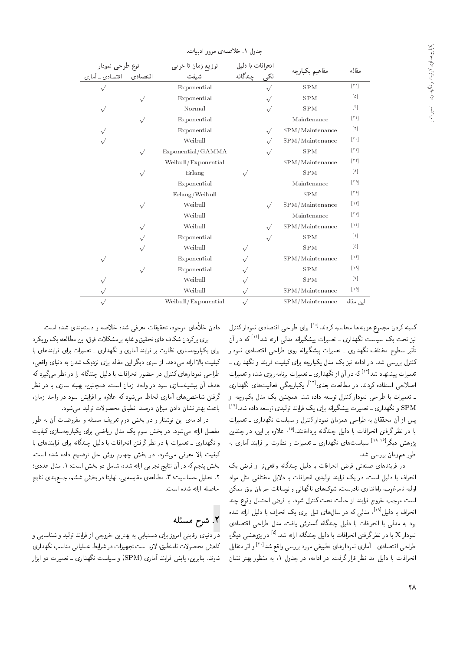|                                               |           | توزیع زمان تا خرابی |                                 |           |                    | مقاله                                    |
|-----------------------------------------------|-----------|---------------------|---------------------------------|-----------|--------------------|------------------------------------------|
| نوع طراحی نمودار<br>اقتصادی – اقتصادی ـ آماری |           | شىفت                | انحرافات با دلیل<br>تکی جندگانه |           | مفاهيم يكيارچه     |                                          |
|                                               |           | Exponential         |                                 |           | <b>SPM</b>         | $[Y \Lambda]$                            |
|                                               |           | Exponential         |                                 |           | <b>SPM</b>         | $[0]$                                    |
| $\sqrt{}$                                     |           | Normal              |                                 | $\sqrt{}$ | <b>SPM</b>         | [Y]                                      |
|                                               | $\sqrt{}$ | Exponential         |                                 |           | Maintenance        | $\lceil \mathbf{r} \, \mathbf{r} \rceil$ |
|                                               |           | Exponential         |                                 | $\sqrt{}$ | SPM/Maintenance    | $\lceil r \rceil$                        |
|                                               |           | Weibull             |                                 |           | SPM/Maintenance    | $[\mathbf{v} \circ]$                     |
|                                               | $\sqrt{}$ | Exponential/GAMMA   |                                 |           | <b>SPM</b>         | $ \tau\tau $                             |
|                                               |           | Weibull/Exponential |                                 |           | SPM/Maintenance    | $[\uparrow \uparrow]$                    |
|                                               |           | Erlang              | $\sqrt{}$                       |           | <b>SPM</b>         | $\lceil \lambda \rceil$                  |
|                                               |           | Exponential         |                                 |           | Maintenance        | $\lceil r \Delta \rceil$                 |
|                                               |           | Erlang/Weibull      |                                 |           | <b>SPM</b>         | $\lceil \mathbf{r} \rangle$              |
|                                               |           | Weibull             |                                 | $\sqrt{}$ | $SPM/M$ aintenance | $\lceil \mathbf{v} \rceil$               |
|                                               |           | Weibull             |                                 |           | Maintenance        | $\lceil \mathbf{Y} \mathbf{Y} \rceil$    |
|                                               |           | Weibull             |                                 | $\sqrt{}$ | SPM/Maintenance    | [11]                                     |
|                                               |           | Exponential         |                                 | $\sqrt{}$ | <b>SPM</b>         | $[1]$                                    |
|                                               |           | Weibull             | $\sqrt{}$                       |           | <b>SPM</b>         | $[0]$                                    |
| $\sqrt{}$                                     |           | Exponential         |                                 |           | SPM/Maintenance    | $\lceil \mathbf{H} \rceil$               |
|                                               | $\sqrt{}$ | Exponential         |                                 |           | <b>SPM</b>         | 11                                       |
|                                               |           | Weibull             |                                 |           | <b>SPM</b>         | [Y]                                      |
|                                               |           | Weibull             | $\sqrt{}$                       |           | SPM/Maintenance    | $\lceil \cdot \Delta \rceil$             |
| $\sqrt{}$                                     |           | Weibull/Exponential | $\sqrt{}$                       |           | SPM/Maintenance    | این مقاله                                |

جدول ١. خلاصهى مرور ادبيات.

pQDvm Q=Owtv |O=YDk= |L=Q] |=Q@ "OvOQm x@U=Lt =yxv} Ry `wtHt uOQm xv}tm كمينه كردن مجموع هزينهها محاسبه كردند.<sup>[۱۰]</sup> براي طراحي اقتصادي نموداركنترل نیز تحت یک سیاست نگهداری ــ تعمیرات پیشگیرانه مدلمی ارائه شد<sup>ادر</sup>اً که در آن<br>ب<sup>ا</sup>ه مسلمات زبان مگرمان کنترل بررسی شد. در ادامه نیز یک مدل یکپارچه برای کیفیت فرایند و نگهداری ـ تأثیر سطوح مختلف نگهداری ــ تعمیرات پیشگیرانه روی طراحی اقتصادی نمودار دسرل بررسی سد. در آدامه نیز یک مدل یکپارچه برای نیهیت فرایند و نگهداری ـ<br>تعمیرات بیشنهاد شد<sup>[۱۲]</sup> که در آن از نگهداری ـ تعمیرات برنامهر بزی شده و تعمیرات تعمیرات پیستهاد سد مسلم در آن از تکهداری ـ تعمیرات برنامه ریزی سده و تعمیرات<br>اسلمبر است است که سیاسی است است از این کسی مسلم ، یکپارچکی فعالیت های مکهداری<br>. [13]|Oa@ C=ar=]t QO "OvOQm xO=iDU= |LqY= R= xJQ=Bm} pOt l} u}vJty "OW xO=O xaUwD pQDvm Q=Owtv |L=Q] =@ C=Q}taD SPM و نگهداری ــ تعمیرات پیشگیرانه برای یک فرایند تولیدی توسعه داده شد.<sup>[۱۲]</sup><br>استرو توسط استفاده استفاده استفاده استفاده استفاده استفاده استفاده استفاده پس از آن محققان به طراحی همزمان نمودار نسرل و سیاست ندهداری ـ تغمیرات<br>است دارج نیستان از این استفاده از کاروی این آفاد از کاروی از کاروی از میدان با در نظر گرفتن انحرافات با دلیل چندگانه پرداختند.<sup>[۱۵]</sup> علاوه بر این، در چندین<br>محمد از ۱۸-۱۶ میلی بود از محمد از منتقل است. پژوهش دیگر<sup>[۱۸-۱۸</sup>] سیاستهای نگهداری ــ تعمیرات و نظارت بر فرایند آماری به<br>ا طور همزمان بررسے شد.

در فرایندهای صنعتبی فرض انحرافات با دلیل چندگانه واقعیتر از فرض یک<br>انحراف با دلیل است. در یک فرایند تولیدی انحرافات با دلایل مختلفی مثل مواد اولیه نامرغوب، راهاندازی نادرست، شوکهای ناگهانی و نوسانات جریان برق ممکن اولیه نامرغوب، راهآندازی نادرست، سوت&ی نا تهانی و نوسانات جریان برق ممکن<br>ا است موجب حروج قرایند از حالت بحث تسرل سود. با قرص احتمال وقوع چند<br>اسما استفاده ایرانی استفاده و استفاده استفاده استفاده استفاده استفاده ، مدنی نه در سال های قبل برای یک انحراف با دنیل ارائه سده<br>القاطعات المستقل گیست انحراف با دلیل<sup>[۱۹]</sup>، مدلی که در سال های قبل برای یک انحراف با دلیل ارائه شده بود به مدلی با انحرافات با دلیل چمدنانه نسترس یافت. مدل طراحی اقتصادی<br>مساح استفاده : استفاد استفاده استفراد استفراد استفراد در پژوهسی دیدر،<br>۱۲۰۱۰ - ۱۰ - ۱۰۰۰ نمودار X با در نظرگرفتن انحرافات با دلیل چندگانه ارائه شد.<sup>[4]</sup><br>با این ماتحد استقرار با موارد استقرار طراحی اقتصادی ــ أماری نمودارهای تطبیقی مورد بررسی واقع شد<sup>[۲۰]</sup> و اثر متقابل<br>از مانا مساحلهای مستقلع تولیقی انحرافات با دلیل مد نظر قرار گرفت. در ادامه، در جدول ۱، به منظور بهتر نشان

دادن خلأهای موجود، تحقیقات معرفی شده خلاصه و دستهبندی شده است.<br>برای برکردن شکاف های تحقیق و غلبه بر مشکلات فوق،این مطالعه، یک رو یکرد

برای یکبارحهسازی نظارت بر فرایند آماری و نگهداری ـ تعمیرات برای فرایندهای با كيفيت بالا ارائه مى،دهد. از سوى ديگر اين مقاله براى نزديک شدن به دنياى واقعى، طراحی نمودارهای کنترل در حضور انحرافات با دلیل چندگانه را در نظر میگیرد که هدف آن بیشینهسازی سود در واحد زمان است. همچنین، بهینه سازی با در نظر هدف آن بیسیمسازی سود در واحد زمان است. همچنین، بهینه سازی با در نظر<br>۶ - سیاست از آن سیاستان از این مورد از این این درفین ساحص@ای آماری لحاظ میسود به علاوه بر افزایس سود در واحد زمان،<br>است. این این این این است این این این این دولت باعث بهتر نشان دادن ميزان درصد انطباق محصولات توليد مى شود.

در ادامهی این نوشتار و در بخش دوم تعریف مسئله و مفروضات آن به طور مفصل ارائه میشود. در بخش سوم یک مدل ریاضی برای یکپارچهسازی کیفیت و نگهداری ـ تعمیرات با در نظر گرفتن انحرافات با دلیل چندگانه برای فرایندهای با كيفيت بالا معرفي مي شود. در بخش چهارم روش حل توضيح داده شده است. بخش پنجم که در آن نتایج تجربی ارائه شده، شامل دو بخش است: ۱. مثال عددی؛ ۲. تحلیل حساسیت؛ ۳. مطالعهی مقایسه یی. نهایتا در بخش ششم، جمعبندی نتایج حاصله أرائه شده أست.

## X. شرح مسئله

<mark>در</mark> دنیای رقابتی امروز برای دستیابی به بهترین خروجی از فرایند تولید و شناسایی و كاهش محصولات نامنطبق، لازم است تجهيزات در شرايط عملياتي مناسب نگهداري شوند. بنابراین، پایش فرایند آماری (SPM) و سیاست نگهداری ــ تعمیرات دو ابزار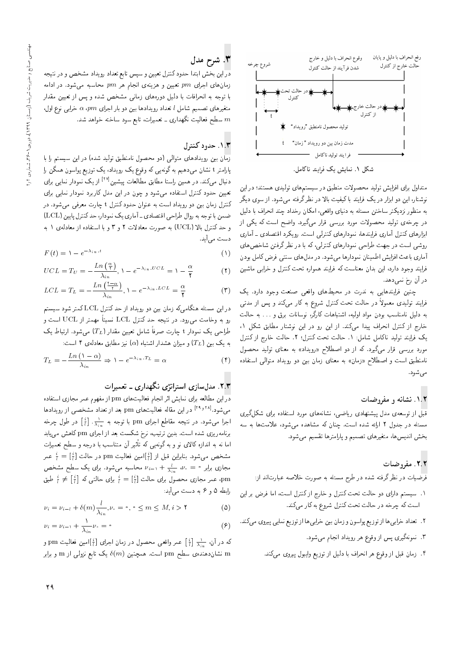

متداول برای افزایش تولید محصولات منطبق در سیستمهای تولیدی هستند؛ در این نوشتار، این دو ابزار در یک فرایند با کیفیت بالا در نظرگرفته میشود. از سوی دیگر به منظور نزدیکتر ساختن مسئله به دنیای واقعی، امکان رخداد چند انحراف با دلیل در چرخهی تولید محصولات مورد بررسی قرار میگیرد. واضح است که یکی از ابزارهای کنترل آماری فرایندها، نمودارهای کنترلی است. رویکرد اقتصادی ـ آماری روشی است در جهت طراحی نمودارهای کنترلی، که با در نظر گرفتن شاخص های آماری باعث افزایش اطمینان نمودارها میشود. در مدل های سنتبی فرض کامل بودن فرایند وجود دارد، این بدان معناست که فرایند همواره تحت کنترل و خرابی ماشین در آن رخ نمی دهد.

چنین فرایندهایی به ندرت در محیطهای واقعی صنعت وجود دارد. یک فرایند تولیدی معمولاً در حالت تحت کنترل شروع به کار میکند و پس از مدتی به دلیل نامناسب بودن مواد اولیه، اشتباهات کارگر، نوسانات برق و … به حالت خارج از کنترل انحراف پیدا میکند. از این رو در این نوشتار مطابق شکل ۱، يک فرايند توليد ناکامل شامل: ١. حالت تحت کنترل؛ ٢. حالت خارج از کنترل مورد بررسی قرار میگیرد. که از دو اصطلاح «رویداد» به معنای تولید محصول نامنطبق است و اصطلاح «زمان» به معناى زمان بين دو رويداد متوالى استفاده

### ۰۱.۲ نشانه و مفروضات

<mark>قبل</mark> از توسعهءی مدل پیشنهادی ریاضی، نشانههای مورد استفاده برای شکلگیری مسئله در جدول ۲ ارائه شده است. چنان که مشاهده می شود، علامتها به سه بخش انديس ها، متغيرهاى تصميم و پارامترها تقسيم مى شود.

## ٢.٢. مفروضات

.<br>فرضیات در نظرگرفته شده در طرح مسئله به صورت خلاصه عبارتiند از:

- ٠١. سيستم داراي دو حالت تحت كنترل و خارج از كنترل است، اما فرض بر اين است که چرخه در حالت تحت کنترل شروع به کار میکند.
- ۲. تعداد خرابی ها از توزیع پواسون و زمان بین خرابی ها از توزیع نمایی پیروی میکند.
	- ۳. نمونهگیری پس از وقوع هر رویداد انجام میشود.
	- ۴. زمان قبل از وقوع هر انحراف با دلیل از توزیع وایبول پیروی میکند.

# ۳. شرح مدل

دراین بخش ابتدا حدود کنترل تعیین و سپس تابع تعداد رویداد مشخص و در نتیجه زمانهای اجرای  $\emph{p}m$  تعیین و هزینهی انجام هر  $\emph{p}m$  محاسبه میشود. در ادامه با توجه به انحرافات با دلیل دورههای زمان<sub>ی</sub> مشخص شده و پس از تعیین مقدار متغیرهای تصمیم شامل l تعداد رویدادها بین دو بار اجرای  $\alpha$  . $\rho m$  خرابی نوع اول، سطح فعالیت نگهداری ـ تعمیرات، تابع سود ساخته خواهد شد.  $m$ 

## ۰۱.۳ حدود کنترل

زمان بین رویدادهای متوالی (دو محصول نامنطبق تولید شده) در این سیستم را با پارامتر t نشان می۵دهیم به گونهی<sub>می</sub> که وقوع یک رویداد، یک توزیع پواسون همگن را دنبال میکند. در همین راستا مطابق مطالعات پیشین<sup>[۲۷]</sup> از یک نمودار نمایی برای تعیین حدود کنترل استفاده میشود و چون در این مدل کاربرد نمودار نمایی برای کنترل زمان بین دو رویداد است به عنوان حدودکنترل t چارت معرفی میشود. در ضمن با توجه به روال طراحي اقتصادي ـ أماري يك نمودار، حد كنترل پايين (LCL) و حد کنترل بالا (UCL) به صورت معادلات ۲ و ۳ و با استفاده از معادلهى ١ به دست می]ید.

$$
F(t) = \lambda - e^{-\lambda_{in} \cdot t} \tag{1}
$$

$$
UCL = T_U = -\frac{Ln\left(\frac{\alpha}{\tau}\right)}{\lambda_{in}}, \, \lambda - e^{-\lambda_{in} \cdot UCL} = \lambda - \frac{\alpha}{\gamma}
$$
 (1)

$$
LCL = T_L = -\frac{Ln\left(\frac{\tau - \alpha}{\tau}\right)}{\lambda_{in}}, \, \mathcal{N} - e^{-\lambda_{in}.LCL} = \frac{\alpha}{\tau}
$$
 (7)

در این مسئله هنگامیکه زمان بین دو رویداد از حدکنترل LCL کمتر شود سیستم رو به وخامت مىرود. در نتيجه حد كنترل LCL نسبتاً مهمتر از UCL است و طراحی یک نمودار t چارت صرفاً شامل تعیین مقدار ( $T_L$ ) میشود. ارتباط یک به یک بین ( $T_L$ ) و میزان هشدار اشتباه (a) نیز مطابق معادله $\mathfrak{b}$  است:

$$
T_L = -\frac{Ln\left(\lambda - \alpha\right)}{\lambda_{in}} \Rightarrow \lambda - e^{-\lambda_{in} \cdot T_L} = \alpha \tag{f}
$$

### ۲.۳. مدلسازی استراتژی نگهداری ـ تعمیرات

در این مطالعه برای نمایش اثر انجام فعالیتهای pm از مفهوم عمر مجازی استفاده میشود.<sup>[۲۹</sup> <sup>۲۹]</sup> در این مقاله فعالیتهای pm بعد از تعداد مشخصی از رویدادها اجرا میشود. در نتیجه مقاطع اجرای  $\operatorname{pm}$  با توجه به  $\frac{1}{\lambda}$ .  $\frac{1}{\lambda}$  در طول چرخه برنامهریزی شده است. بدین ترتیب، نرخ شکست بعد از اجرای pm کاهش میlبد اما نه به اندازه کالای نو و به گونه $_2$  که تأثیر آن متناسب با درجه و سطح تعمیرات مشخص میشود. بنابراین قبل از  $[\frac{i}{l}]$ امین فعالیت  $\mathrm{pm}$  در حالت  $[\frac{i}{l}]=[\frac{i}{l}]=\frac{i}{l}$  عمر مجازی برابر ۰ = . $\nu_i = \frac{l}{\lambda_{i-1}} + \frac{l}{\lambda_{i-1}}$  محاسبه میشود. برای یک سطح مشخص ، عمر مجازی محصول برای حالت  $\frac{i}{l}=[\frac{i}{l}]$  برای حالتی که  $[\frac{i}{l}]\neq\frac{i}{l}$  طبق،  $\rm pm$ رابطه ۵ و ۶ به دست میآید:

$$
\nu_i = \nu_{i-l} + \delta(m) \frac{l}{\lambda_{in}}, \nu_{\cdot} = \circ, \circ \leq m \leq M, i > \mathbf{Y}
$$
 (0)

$$
\nu_i = \nu_{i-1} + \frac{1}{\lambda_{in}} \nu_{\cdot} = \cdot \tag{8}
$$

که در آن،  $\frac{1}{\lambda - i}$  عمر واقعی محصول در زمان اجرای  $[\frac{i}{l}]$ امین فعالیت pm و نشاندهنده، سطح pm است. همچنین  $\delta(m)$  یک تابع نزولی از m و برابر  $\, {\rm m}$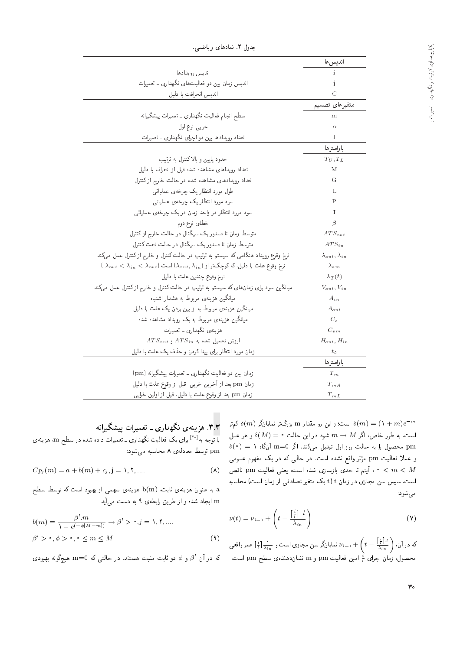| جدول ۲. ىمادھای رياضي.                                                                                                    |                               |
|---------------------------------------------------------------------------------------------------------------------------|-------------------------------|
|                                                                                                                           | انديس ها                      |
| انديس رويدادها                                                                                                            | $\mathbf{i}$                  |
| اندیس زمان بین دو فعالیتهای نگهداری ـ تعمیرات                                                                             | $\mathbf{j}$                  |
| انديس انحرافت با دليل                                                                                                     | $\mathcal{C}$                 |
|                                                                                                                           | متغيرهاى تصميم                |
| سطح انجام فعالیت نگهداری ــ تعمیرات پیشگیرانه                                                                             | m                             |
| خرابي نوع اول                                                                                                             | $\alpha$                      |
| تعداد رویدادها ببین دو اجرای نگهداری ــ تعمیرات                                                                           | $\mathbf{I}$                  |
|                                                                                                                           | يارامترها                     |
| حدود پایین و بالاکنترل به ترتیب                                                                                           | $T_U, T_L$                    |
| تعداد رویداهای مشاهده شده قبل از انحراف با دلیل                                                                           | M                             |
| تعداد رویدادهای مشاهده شده در حالت خارج ازکنترل                                                                           | G                             |
| طول مورد انتظار یک چرخهی عملیاتی                                                                                          | L                             |
| سود مورد انتظاريک چرخهي عملياتي                                                                                           | Ρ                             |
| سود مورد انتظار در واحد زمان در یک چرخهی عملیاتی                                                                          | $\mathbf I$                   |
| خطای نوع دوم                                                                                                              | $\beta$                       |
| متوسط زمان تا صدوریک سیگنال در حالت خارج از کنترل                                                                         | $ATS_{out}$                   |
| متوسط زمان تا صدور یک سیگنال در حالت تحت کنترل                                                                            | $ATS_{in}$                    |
| نرخ وقوع رویداد هنگامی که سیستم به ترتیب در حالت کنترل و خارج ازکنترل عمل میکند                                           | $\lambda_{out}, \lambda_{in}$ |
| $\lambda_{out} < \lambda_{in} < \lambda_{out}$ ) نرم وقوع علت با دلیل، که کوچکتر از ( $\lambda_{out}, \lambda_{in}$ ) است | $\lambda_{am}$                |
| نرخ وقوع چندین علت با دلیل                                                                                                | $\lambda_T(t)$                |
| میانگین سود برای زمانهای که سیستم به ترتیب در حالت کنترل و خارج ازکنترل عمل میکند                                         | $V_{out}, V_{in}$             |
| میانگین هزینهی مربوط به هشدار اشتباه                                                                                      | $A_{in}$                      |
| میانگین هزینهی مربوط به از بین بردن یک علت با دلیل                                                                        | $A_{out}$                     |
| میانگین هزینهی مربوط به یک رویداد مشاهده شده                                                                              | $\mathcal{C}_e$               |
| هزینهی نگهداری ــ تعمیرات                                                                                                 | $C_{pm}$                      |
| $ATS_{out}$ ارزش تحمیل شده به $ATS_{in}$ و $ATS_{out}$                                                                    | $H_{out}$ , $H_{in}$          |
| زمان مورد انتظار برای پیدا کردن و حذف یک علت با دلمیل                                                                     | $t_{\delta}$                  |
|                                                                                                                           | يارامترها                     |
| زمان بین دو فعالیت نگهداری ــ تعمیرات پیشگیرانه (pm)                                                                      | $T_m$                         |
| زمان pm بعد از آخرین خرابی، قبل از وقوع علت با دلیل                                                                       | $T_{mA}$                      |
| زمان pm بعد از وقوع علت با دلیل. قبل از اولین خرابی                                                                       | $T_{mL}$                      |

"|[=}Q |=yO=tv "2 pwOH

است؛از این رو مقدار m بزرگ تر نمایانگر ( $\delta(m) = (\lambda+m)e^{-m}$ <br>است که که در استان اسلامی است. به طور خاص، اگر  $M \rightarrow m \rightarrow M$  شود در این حالت $\delta(M) = \delta(M)$  و هر عمل  $\delta(\,^{\circ}\,) \,=\, 1$ محصول را به حالت روز اول تبدیل میکند. اگر m=0 آنگاه  $\, {\rm pm}$ وبر واقع سده است. در حالي نه در يف مفهوم عمومي<br>- احداث المسلم شدد احت عضا احت مستقادة و عملاً فعالیت pm مؤثر واقع نشده است. در حالبی که در یک مفهوم عمومی ن تابع العدى بازسازى شده است، يعنى فعاليت  $\rho$ m القص | C = /O<br>|- المساحل عليه العلم العلم العلم العلم العلم العلم العلم العلم العلم العلم العلم العلم العلم العلم العلم العل است. سپس سن مجازی در زمان t) t یک متغیر تصادفی از زمان است) محاسبه مي شود:

$$
\nu(t) = \nu_{i-1} + \left(t - \frac{\left[\frac{i}{l}\right] \cdot l}{\lambda_{in}}\right) \tag{V}
$$

که در آن،  $\left( t - \frac{[\frac{i}{t}] \cdot l}{\lambda_{i n}} \right)$  به نمایانگر سن مجازی است و  $\frac{\lambda}{t}$  تمار واقعی  $\nu_{i-1} + \left( t - \frac{[\frac{i}{t}] \cdot l}{\lambda_{i n}} \right)$  عمر واقعی محصول، زمان اجرای  $\frac{i}{l}$  امین فعالیت  $\text{pm}$  و  $\text{m}$  نشاندهندهی سطح  $\text{pm}$  است.

x.۳ هزینهی نگهداری ـ تعمیرات پیشگیرانه با توجه به<sup>[۲۰]</sup> برای یک فعالیت نگهداری ــ تعمیرات داده شده در سطح m، هزینه ی<br>pm توسط معادلهى ٨ محاسبه مى شود:

$$
Cp_j(m) = a + b(m) + c_j, j = 1, 1, \dots
$$
 (A)

 $\hbox{E}$ به عنوان هزینهی ثابت،  $\hbox{b}({\rm m})$  هزینهی سهمی از بهبود است که توسط سطح ایجاد شده و از طریق رابطهی ۹ به دست میآید:  $\ln$ 

$$
b(m) = \frac{\beta'.m}{1 - e^{(-\phi[M - m])}} \to \beta' > \circ, j = 1, 1, ....
$$
  

$$
\beta' > \circ, \phi > \circ, \circ \le m \le M
$$
 (4)

که در آن ا $\beta$  و  $\phi$  دو ثابت مثبت هستند. در حالتبی که m $=0$  هیچگونه بهبودی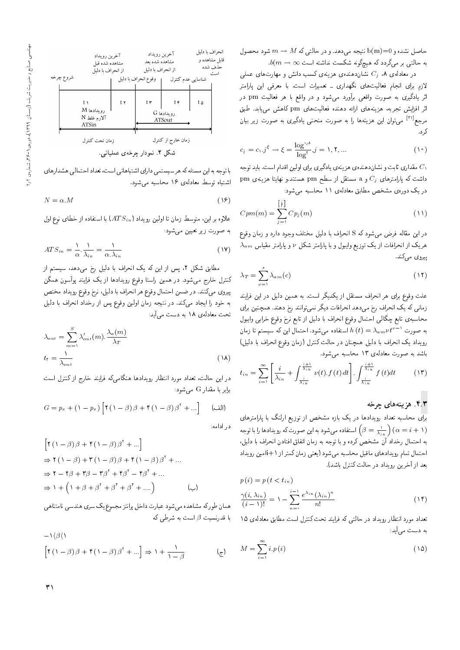حاصل نشده و b $(\mathrm{m})$  نتیجه میدهد. و در حالتی که  $M \to m \to m$  شود محصول  $b(m\rightarrow\infty$  به حالتبی بر میگردد که هیچگونه شکست نداشته است

در معادلهی ۸،  $C_j$  نشان۱دهندهی هزینهی کسب دانش و مهارتهای عملی لازم برای انجام فعالیتهای نگهداری ـ تعمیرات است. با معرفی این پارامتر اثر یادگیری به صورت واقعی برآورد می شود و در واقع با هر فعالیت pm در اثر افزایش تجربه، هزینههای ارائه دهنده فعالیتهای pm کاهش می یابد. طبق مرجع<sup>[۳۱]</sup> می;توان این هزینهها را به صورت منحنبی یادگیری به صورت زیر بیان ک, د.

$$
c_j = c_1 \cdot j^{\xi} \to \xi = \frac{\log^{*,*}}{\log^{*}} \cdot j = 1, 1, ... \tag{10}
$$

مقداری ثابت و نشاندهندهی هزینهی یادگیری برای اولین اقدام است. باید توجه  $C_1$ pm مستند.و نهايتا هزينهى  $C_j$  و a مستقل از سطح pm هستند.و نهايتا هزينهى در یک دورهی مشخص مطابق معادلهی ۱۱ محاسبه میشود:

$$
Cpm(m) = \sum_{j=1}^{\left[\frac{i}{l}\right]} Cp_j(m) \tag{11}
$$

در این مقاله فرض میشود که S انحراف با دلیل مختلف وجود دارد و زمان وقوع  $\lambda_{am}$  هریک از انحرافات از یک توزیع وایبول و با پارامتر شکل ۷ و پارامتر مقیاس پیروی میکند.

$$
\lambda_T = \sum_{c=1}^s \lambda_{am}(c) \tag{17}
$$

علت وقوع برای هر انحراف مستقل از یکدیگر است. به همین دلیل در این فرایند زمانی که یک انحراف رخ میدهد انحرافات دیگر نمی توانند رخ دهند. همچنین برای محاسبه، تابع چگالی احتمال وقوع انحراف با دلیل از تابع نرخ وقوع خرابی وایبول به صورت  $\lambda_{a\,m} \nu \, t^{\nu -1}$  استفاده میشود. احتمال این که سیستم تا زمان رويداد يك انحراف با دليل همچنان در حالت كنترل (زمان وقوع انحراف با دليل) باشد به صورت معادلهی ١٣ محاسبه مي شود.

$$
t_{in} = \sum_{i=1}^{\infty} \left[ \frac{i}{\lambda_{in}} + \int \frac{\frac{i+1}{\lambda_{in}}}{\frac{i}{\lambda_{in}}} \nu(t) \cdot f(t) dt \right] \cdot \int \frac{\frac{i+1}{\lambda_{in}}}{\frac{i}{\lambda_{in}}} f(t) dt \tag{17}
$$

#### ۴.۳. هزینههای چرخه

برای محاسبه تعداد رویدادها در یک بازه مشخص از توزیع ارلنگ با پارامترهای استفاده میشود به این صورت که رویدادها را با توجه  $\big(\beta=\frac{1}{\lambda_{in}}\big)\,(\alpha=i+1)$ به احتمال رخداد آن مشخص کرده و با توجه به زمان اتفاق افتادن انحراف با دلیل، احتمال تمام رويدادهاى ماقبل محاسبه مى شود (يعنى زمان كمتر از ١+iiمين رويداد بعد از آخرین رویداد در حالت کنترل باشد).

$$
p(i) = p(t < t_{in})
$$
  
\n
$$
\frac{\gamma(i, \lambda_{in})}{(i-1)!} = 1 - \sum_{n=1}^{i-1} \frac{e^{\lambda_{in}} (\lambda_{in})^n}{n!}
$$
\n(15)

تعداد مورد انتظار رویداد در حالتی که فرایند تحت کنترل است مطابق معادلهی ١٥ به دست می آید:

$$
M = \sum_{i=1}^{\infty} i \cdot p(i) \tag{12}
$$



با توجه به این مسئله که هر سیستمی دارای اشتباهاتی است، تعداد احتمالی هشدارهای اشتباه توسط معادلهی ۱۶ محاسبه می شود.

$$
N = \alpha.M \tag{18}
$$

علاوه براین، متوسط زمان تا اولین رویداد ( $ATS_{in}$ ) با استفاده از خطای نوع اول به صورت زیر تعیین میشود:

$$
ATS_{in} = \frac{1}{\alpha} \cdot \frac{1}{\lambda_{in}} = \frac{1}{\alpha \cdot \lambda_{in}} \tag{19}
$$

مطابق شکل ۲، پس از این که یک انحراف با دلیل رخ میدهد، سیستم از کنترل خارج میشود. در همین راستا وقوع رویدادها از یک فرایند پوآسون همگن پیروی میکنند. در ضمن احتمال وقوع هر انحراف با دلیل، نرخ وقوع رویداد مختص به خود را ایجاد میکند. در نتیجه زمان اولین وقوع پس از رخداد انحراف با دلیل تحت معادلهی ١٨ به دست می آید:

$$
\lambda_{out} = \sum_{m=1}^{S} \lambda'_{out}(m) \cdot \frac{\lambda_a(m)}{\lambda_T}
$$
  

$$
t_{\tau} = \frac{1}{\lambda_{out}}
$$
 (1A)

در این حالت، تعداد مورد انتظار رویدادها هنگامیکه فرایند خارج از کنترل است برابر با مقدار G میشود:

$$
G = p_x + (1 - p_x) \left[ \mathbf{Y} \left( 1 - \beta \right) \beta + \mathbf{Y} \left( 1 - \beta \right) \beta^{\mathsf{T}} + \ldots \right] \quad \text{(L)}
$$

در ادامه:

$$
\begin{aligned}\n\left[ \mathbf{Y} \left( \mathbf{V} - \boldsymbol{\beta} \right) \boldsymbol{\beta} + \mathbf{Y} \left( \mathbf{V} - \boldsymbol{\beta} \right) \boldsymbol{\beta}^{\mathsf{T}} + \dots \right] \\
&\Rightarrow \mathbf{Y} \left( \mathbf{V} - \boldsymbol{\beta} \right) + \mathbf{Y} \left( \mathbf{V} - \boldsymbol{\beta} \right) \boldsymbol{\beta} + \mathbf{Y} \left( \mathbf{V} - \boldsymbol{\beta} \right) \boldsymbol{\beta}^{\mathsf{T}} + \dots \\
&\Rightarrow \mathbf{Y} - \mathbf{Y} \boldsymbol{\beta} + \mathbf{Y} \boldsymbol{\beta} - \mathbf{Y} \boldsymbol{\beta}^{\mathsf{T}} + \mathbf{Y} \boldsymbol{\beta}^{\mathsf{T}} - \mathbf{Y} \boldsymbol{\beta}^{\mathsf{T}} + \dots \\
&\Rightarrow \mathbf{Y} + \left( \mathbf{V} + \boldsymbol{\beta} + \boldsymbol{\beta}^{\mathsf{T}} + \boldsymbol{\beta}^{\mathsf{T}} + \boldsymbol{\beta}^{\mathsf{T}} + \dots \right)\n\end{aligned}
$$

همان طوركه مشاهده مىشود عبارت داخل پرانتز مجموع يك سرى هندسى نامتناهى با قدرنسبت  $\beta$  است به شرطی که

$$
-\frac{1}{\beta\beta\gamma}
$$
  

$$
\left[\gamma\left(1-\beta\right)\beta+\gamma\left(1-\beta\right)\beta^{\gamma}+\ldots\right] \Rightarrow 1+\frac{1}{1-\beta}
$$
 (c)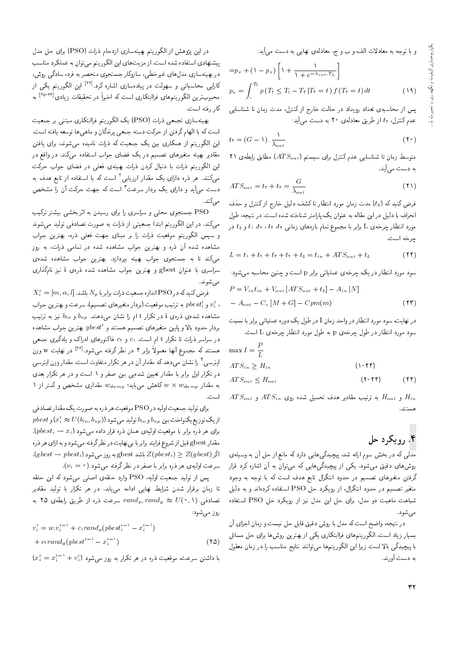و با توجه به معادلات الف و ب و ج، معادلهى نهايبى به دست مى آيد:

$$
= p_x + (\mathbf{1} - p_x) \left[ \mathbf{1} + \frac{\mathbf{1}}{\mathbf{1} + e^{-\lambda_{out} \cdot T_L}} \right]
$$
  

$$
p_x = \int_s^{T_l} p(T_\tau \le T_l - T_\tau) T_\tau = t) f(T_\tau = t) dt
$$
 (14)

يس از محاسبهى تعداد رويداد در حالت خارج ازكنترل، مدت زمان تا شناسايي عدم کنترل، tr از طریق معادلهی ۲۰ به دست میآید:

$$
t_{\mathfrak{k}} = (G - 1) \cdot \frac{1}{\lambda_{out}} \tag{1}
$$

71 متوسط زمان تا شناسایی عدم کنترل برای سیستم ( $ATS_{out}$ ) مطابق رابطهی به دست مے آبد.

$$
ATS_{out} = t_{\tau} + t_{\tau} = \frac{G}{\lambda_{out}} \tag{1}
$$

فرض کنید که (t٥) مدت زمان مورد انتظار تا کشف دلیل خارج از کنترل و حذف انحراف با دلیل در این مقاله به عنوان یک پارامتر شناخته شده است. در نتیجه، طول  $t_0$  مورد انتظار چرخه $L$  ل برابر با مجموع تمام بازههای زمانی  $t_7$  ،  $t_7$  ،  $t_8$  و  $t_9$  در حرخه است.

$$
L = t_1 + t_1 + t_2 + t_3 + t_4 = t_{in} + ATS_{out} + t_4
$$
\n
$$
(11)
$$

سود مورد انتظار در یک چرخهی عملیاتی برابر p است و چنین محاسبه می شود:

$$
P = V_{in}t_{in} + V_{out}[ATS_{out} + t_{0}] - A_{in}[N]
$$

$$
- A_{out} - C_{e}[M + G] - Cpm(m)
$$
(17)

در نهایت، سود مورد انتظار در واحد زمان I در طول یک دوره عملیاتی برابر با نسبت سود مورد انتظار در طول چرخه ی p به طول مورد انتظار چرخه ی L است.

$$
\max I = \frac{P}{L}
$$
  
 
$$
ATS_{in} \ge H_{in}
$$
 (1-17)  
 
$$
ATS_{out} \le H_{out}
$$
 (1-17) (17)

 $ATS_{out}$  و  $H_{out}$  به ترتیب مقادیر هدف تحمیل شده روی  $H_{in}$  و  $H_{out}$ هستند.

# ۴. رويکرد حل

مدلم, که در بخش سوم ارائه شد، پیچیدگی&ایی دارد که مانع از حل آن به وسیلهی روشهای دقیق میشود. یکی از پیچیدگیهایی که می توان به آن اشاره کرد قرار گرفتن متغیرهای تصمیم در حدود انتگرال تابع هدف است که با توجه به وجود متغیر تصمیم در حدود انتگرال، از رویکرد حل PSO استفاده کردهاند و به دلیل شباهت ماهیت دو مدل، برای حل این مدل نیز از رویکرد حل PSO استفاده می شود.

در نتيجه، واضح است كه مدل با روش دقيق قابل حل نيست و زمان اجراي آن بسیار زیاد است. الگوریتمهای فراابتکاری یکی از بهترین روشها برای حل مسائل با پیچیدگی بالا است زیرا این الگوریتمها می توانند نتایج مناسب را در زمان معقول به دست آورند.

در این پژوهش از الگوریتم بهینهسازی ازدحام ذرات (PSO) برای حل مدل پیشنهادی استفاده شده است. از مزیت های این الگوریتم می توان به عملکرد مناسب<br>در بهپنهسازی مدل های غیرخطی، سازوکار جستجوی منحصر به فرد، سادگی روش، در بهینه سازی مدل های عیرحطی، سازوقار جستجوی متحصر به فرد، سادنی روس،<br>۱۰ - اسلسلسل است <sup>[۳۲]</sup> این الگوریتم یکی از<br>مقعا "OQm xQ=W= |R=UxO=}B QO CrwyU w |D=@U=Lt |}=Q=m محبوب ترین الگوریتمهای فراابتکاری است که اخیراً در تحقیقات زیادی<sup>[۳۵-۳۳</sup>] به<br>کامینیسا كار رفته است.

بهینهسازی تجمعی ذرات (PSO) یک الگوریتم فراابتکاری مبتنی بر جمعیت است كه با الهام گرفتن از حركت دسته جمعى پرندگان و ماهى ها توسعه يافته است. این الگوریتم از همکاری بین یک جمعیت که ذرات نامیده می شوند، برای یافتن مقادیر بهینه متغیرهای تصمیم در یک فضای جواب استفاده میکند. در واقع در این الگوریتم ذرات با دنبال کردن ذرات بهینهی فعلی در فضای جواب حرکت میکنند. هر ذره دارای یک مقدار ارزیابی<sup>۲</sup> است که با استفاده از تابع هدف به دست میآید و دارای یک بردار سرعت <sup>۳</sup> است که جهت حرکت آن را مشخص مے کند.

PSO جستجوی محلی و سراسری را برای رسیدن به اثربخشی بیشتر ترکیب میکند. در این الگوریتم ابتدا جمعیتی از ذرات به صورت تصادفی تولید می شوند و سپس الگوریتم موقعیت ذرات را بر مبنای جهت فعلمی ذره، بهترین جواب مشاهده شده آن ذره و بهترین جواب مشاهده شده در تمامی ذرات، به روز مى كند تا به جستجوى جواب بهينه بيردازد. بهترين جواب مشاهده شدهى سراسری با عنوان gbest و بهترین جواب مشاهده شده ذروی i نیز نامگذاری مے شوند

 $X_i^t = [m, \alpha, l]$  فرض کنید که در PSO اندازه جمعیت ذرات برابر با م $N$  باشد.  $l$ و بهترین جواب به ترتیب موقعیت (بردار متغیرهای تصمیم). سرعت و بهترین جواب  $v_{i}^{t}$  .<br>نیلما میسیند : مشاهده شدهی ذرهی i در تکرار t ام را نشان میدهند.  $b_{up}$  و  $b_{lo}$  نیز به ترتیب بردار حدود بالا و پایین متغیرهای تصمیم هستند و  $gbest$  بهترین جواب مشاهده<br>این مساحی استفاده استفاده استفاده استفاده در سراسر ذرات تا تکرار t ام است. c1 و cr فاکتورهای ادراک و یادگیری جمعی هستند که مجموع آنها معمولاً برابر ۴ در نظرگرفته میشود.<sup>[۶۶]</sup> در نهایت w وزن<br>اینستند که مجموع آنها معمولاً برابر ۴ اینرسی<sup>۴</sup> را نشان می۵هدکه مقدار آن در هر تکرار متفاوت است. مقدار وزن اینرسی<br>در تکرار اول برابر با مقدار تعیین شدهیی بین صفر و ۱ است و در هر تکرار بعدی در ندرار اول برابر با مقدار نغیین سدهیی بین صفر و ۱ است و در هر ندرار بعدی<br>مقدار مقدار و میکند که با مقدار است. به مقدار  $w$   $w$   $w$  کاهش میباید؛  $w$ سمه $w$  مقداری مشخص و کمتر از ۱ $\cdots$ اسب .<br>-

برای تولید جمعیت اولیه در PSO موقعیت هر ذره به صورت یک مقدار تصادفی  $pbest$  از یک توزیع یکنواخت بین  $b_{u p}$  و  $_{o}$ ا تولید می شود (( $v_{t}^{t} \approx U(b_{lo}, b_{u p})$ ) و  $\sim$  $pbest_i \rightarrow x_i$  برای هر ذره برابر با موقعیت اولیهی همان ذره قرار داده می $\phi$ شود مقدار gbest قبل از شروع فرايند برابر با بي نهايت در نظرگرفته مي شود و به ازاي هر ذره  $(gbest \rightarrow pbest_i)$  اگر  $Z(pbest_i) \geq Z(gbest)$  باشد gbest به روز می $\forall g$ "(<sup>i</sup> <sup>=</sup> 0) OwW|t xDiQo Q\_v QO QiY =@ Q@=Q@ xQP Qy |x}rw= CaQU

يس از توليد جمعيت اوليه، PSO وارد حلقهي اصلي مي شود كه اين حلقه تا زمان برقرار شدن شرایط نهایی ادامه می یابد. در هر تکرار با تولید مقادیر تصادفی (۰٫۱) randp; randg  $x \approx U(0,1)$  به  $rand_{g} \approx U(0,1)$ روز می شود:

$$
v_i^t = w \cdot v_i^{t-1} + c_1 rand_p(pbest_i^{t-1} - x_i^{t-1})
$$
  
+ 
$$
c_1 rand_g(gbest^{t-1} - x_i^{t-1})
$$
 (10)

 $(x_i^t = x_i^{t-1} + v_i^t)$  با داشتن سرعت، موقعیت ذره در هر نکرار به روز می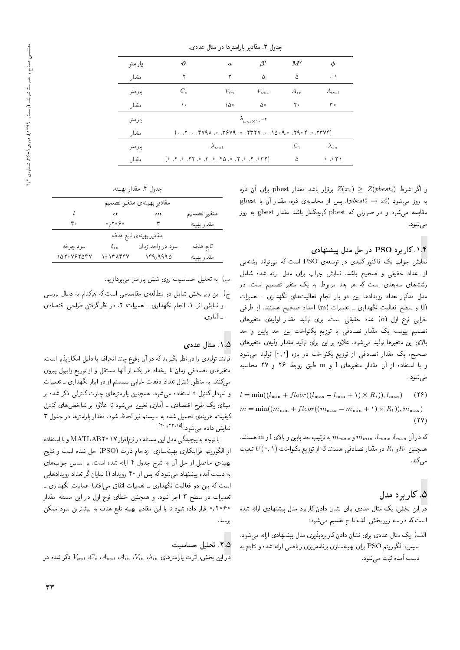|         |                                                                                                                    | جنون ۰۰ مەدىر يەرىمەرمە در مەن مەدى.                                                                                                                                                                                         |                               |          |                                       |
|---------|--------------------------------------------------------------------------------------------------------------------|------------------------------------------------------------------------------------------------------------------------------------------------------------------------------------------------------------------------------|-------------------------------|----------|---------------------------------------|
| پارامتر | $\boldsymbol{\vartheta}$                                                                                           | $\boldsymbol{a}$                                                                                                                                                                                                             | $\beta'$                      | M'       | φ                                     |
| مقدار   | ٢                                                                                                                  | ۲                                                                                                                                                                                                                            | ۵                             | ۵        | $^{\circ}$ . $^{\circ}$               |
| يارامتر | $C_e$                                                                                                              | $V_{in}$                                                                                                                                                                                                                     | $V_{out}$                     | $A_{in}$ | $A_{out}$                             |
| مقدار   | ١٠                                                                                                                 | ١۵۰                                                                                                                                                                                                                          | ۵۰                            | ۲۰       | ۳۰                                    |
| يارامتر |                                                                                                                    |                                                                                                                                                                                                                              | $\lambda_{am \times 1}$ . – r |          |                                       |
| مقدار   |                                                                                                                    | $(25.77)$ expressed to $(3.77)$ expressed to $(2.70)$ expressed to $(2.70)$ expressed to $(2.70)$ expressed to $(2.70)$ expressed to $(2.70)$ expressed to $(2.70)$ expressed to $(2.70)$ expressed to $(2.70)$ expressed to |                               |          |                                       |
| پارامتر |                                                                                                                    | $\lambda_{out}$                                                                                                                                                                                                              |                               |          | $\lambda_{in}$                        |
| مقدار   | $(179)$ . T, $\cdot$ , $\Delta 7$ , $\cdot$ , $\Delta 7$ , $\cdot$ , $\Delta 7$ , $\cdot$ , $\Delta 7$ , $\cdot$ ) |                                                                                                                                                                                                                              |                               | ۵        | $\circ$ , $\circ$ $\uparrow \uparrow$ |

مدرار ۳. مقادر بارامترها در مثال عدد*ه* 

و اگر شرط  $Z(pbest_i) \geq Z(pbest_i)$  برقرار باشد مقدار pbest برای آن ذره  $\mathbf y$ gbest به روز می $\mathbf x_i^t \rightarrow \mathbf x_i^t$  (p $best_i^t \rightarrow \mathbf x_i^t$ ). پس از محاسبه $\mathbf x_i$  دره، مقدار آن با مقایسه میشود و در صورتی که pbest کوچکتر باشد مقدار gbest به روز می شود.

#### ۰۱.۴. کاربرد PSO در حل مدل پیشنهادی

نمایش جواب یک فاکتور کلیدی در توسعهی PSO است که می تواند رشته یی از اعداد حقیقی و صحیح باشد. نمایش جواب برای مدل ارائه شده شامل رشتههای سهبعدی است که هر بعد مربوط به یک متغیر تصمیم است. در مدل مذکور تعداد رویدادها بین دو بار انجام فعالیتهای نگهداری ـ تعمیرات (I) و سطح فعالیت نگهداری ـ تعمیرات (m) اعداد صحیح هستند. از طرفی خرابی نوع اول (a) عدد حقیقی است. برای تولید مقدار اولیهی متغیرهای تصمیم پیوسته یک مقدار تصادفی با توزیع یکنواخت بین حد پایین و حد بالای این متغیرها تولید میشود. علاوه بر این برای تولید مقدار اولیهی متغیرهای صحیح، یک مقدار تصادفی از توزیع یکنواخت در بازه [۰٫۱] تولید می شود و با استفاده از آن مقدار متغیرهای 1 و m طبق روابط ۲۶ و ۲۷ محاسبه مۍ شود:

 $l = \min((l_{\min} + floor((l_{\max} - l_{\min} + 1) \times R_1)), l_{\max})$  $(18)$  $m = \min((m_{\min} + floor((m_{\max} - m_{\min} + 1) \times R_t)), m_{\max})$  $(11)$ 

که در آن  $l_{max}$  ،  $l_{max}$  ،  $m_{max}$  و  $m_{max}$  به ترتیب حد یایین و بالای I و m هستند. همچنین  $R$ و  $R$  دو مقدار تصادفی هستندکه از توزیع یکنواخت (۰٫۱) تبعیت مى كند.

# ۵. کار پرد مدل

در این بخش، یک مثال عددی برای نشان دادن کاربرد مدل پیشنهادی ارائه شده است که در سه زیربخش الف تا ج تقسیم می شود:

الف) یک مثال عددی برای نشان دادن کاربردپذیری مدل پیشنهادی ارائه می شود. سپس، الگوریتم PSO برای بهینهسازی برنامهریزی ریاضیی ارائه شده و نتایج به دست آمده ثبت می شود.

| جدول ۴. مقدار بهينه. |  |  |  |
|----------------------|--|--|--|
|----------------------|--|--|--|

|             |                                                     | مقادير بهينهى متغير تصميم |             |
|-------------|-----------------------------------------------------|---------------------------|-------------|
| ı           | $\alpha$                                            | $\boldsymbol{m}$          | متغير تصميم |
| ۴۰          | $\circ$ , $\mathbf{Y} \circ \mathbf{\varphi} \circ$ |                           | مقدار بهينه |
|             |                                                     | مقادیر بهینهی تابع هدف    |             |
| سود چرخه    | $t_{in}$                                            | سود در واحد زمان          | تابع هدف    |
| ۲۵۲۰ ۷۶۲۵۴۷ | ۱۰ ۱۳۸۴۴۷                                           | ۱۴۹,۹۹۹۵                  | مقدار بهينه |

ب) به تحلیل حساسیت روی شش پارامتر میپردازیم.

ج) این زیربخش شامل دو مطالعهی مقایسهیی است که هرکدام به دنبال بررسی و نمایش اثر: ١. انجام نگهداری ـ تعمیرات؛ ٢. در نظر گرفتن طراحی اقتصادی ۔ آماری.

#### ۰۱.۵ مثال عددی

فرآیند تولیدی را در نظر بگیرید که در آن وقوع چند انحراف با دلیل امکان پذیر است. متغیرهای تصادفی زمان تا رخداد هر یک از آنها مستقل و از توریع وایبول پیروی مهمکنند. به منظورکنترل تعداد دفعات خرابی سیستم از دو ابزار نگهداری ـ تعمیرات و نمودار کنترل t استفاده مه شود. همچنین پارامترهای چارت کنترلمی ذکر شده بر مبنای یک طرح اقتصادی ـ آماری تعیین می شود تا علاوه بر شاخص های کنترل کیفیت، هرینهی تحمیل شده به سیستم نیز لحاظ شود. مقدار پارامترها در جدول ۳ نمایش داده میشود. <sup>[۱۵]</sup> ۱۲ و ۲۰]

با توجه به پیچیدگی مدل این مسئله در نرمافزار MATLAB۲۰۱۷ و با استفاده از الگوریتم فراابتکاری بهینهسازی ازدحام ذرات (PSO) حل شده است و نتایج بهینهی حاصل از حل آن به شرح جدول ۴ ارائه شده است. بر اساس جواب های به دست آمده پیشنهاد میهشود که پس از ۴۰ رویداد (1 نمایان گر تعداد رویدادهایی است که بین دو فعالیت نگهداری ـ تعمیرات اتفاق می|فتد) عملیات نگهداری ـ تعمیرات در سطح ۳ اجرا شود. و همچنین خطای نوع اول در این مسئله مقدار ۲۰۶۰ و قرار داده شود تا با این مقادیر بهینه تابع هدف به بیشترین سود ممکن در سد.

### ٢.٥. تحليل حساست

در این بخش، اثرات یارامترهای  $\lambda_{in}$ ،  $V_{in}$ ،  $A_{in}$ ،  $V_{in}$ ، کار شده در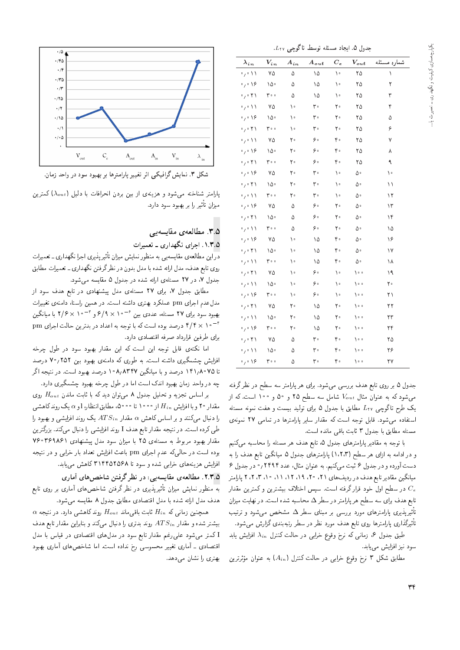$L_{\rm\,7V}$  حدول ۵. ایجاد مسئله توسط تاگوحی  $L_{\rm\,7V}$ 

| $\lambda_{in}$                           | $V_{in}$ | $A_{in}$ | $A_{out}$ | $C_{\bm{e}}$ | $V_{out}$ | شماره مسئله |
|------------------------------------------|----------|----------|-----------|--------------|-----------|-------------|
| $\cdot$ , $\cdot$ \ \                    | ٧۵       | ۵        | ۱۵        | ۱۰           | ۲۵        | Ñ           |
| $\mathfrak{g}_{\ell} \circ \mathfrak{h}$ | ۱۵۰      | ۵        | ۱۵        | ١٠           | ۲۵        | ٢           |
| $\circ$ , $\circ$ $\uparrow$ \           | ۰ ه ۳    | ۵        | ۱۵        | ١٠           | ۲۵        | ٣           |
| $\cdot$ / $\setminus$                    | ٧۵       | ۱۰       | ۳۰        | ه ۲          | ۲۵        | ۴           |
| $\circ$ , $\circ$ 18                     | ۱۵۰      | ١٠       | ٣۰        | ٢۰           | ۲۵        | ۵           |
| $\circ$ , $\circ$ $\uparrow \uparrow$    | ۰ ه ۳    | ۱.       | ۳۰        | ه ۲          | ۲۵        | ۶           |
| $\circ$ , $\circ$ $\wedge$ $\wedge$      | ٧۵       | ٢۰       | ه ۶       | ۴۰           | ۲۵        | ٧           |
| $\circ$ , $\circ$ 18                     | ۱۵۰      | ٢۰       | ه ۶       | ۴۰           | ۲۵        | ٨           |
| $\cdot$ / $\cdot$ $\uparrow$ \           | ه ه ۳    | ٢۰       | ه ۶       | ۴۰           | ۲۵        | ٩           |
| $\circ$ , $\circ$ 18                     | ٧۵       | ٢۰       | ۳۰        | ١٠           | ه ۵       | ١٠          |
| $\circ$ , $\circ$ $\uparrow$ \           | ٥٥٠      | ٢۰       | ۳۰        | ١٠           | ۵۰        | ۱۱          |
| $\cdot$ / $\setminus$                    | ه ه ۳    | ٢۰       | ۳.        | ١٠           | ه ۵       | ۱۲          |
| $\cdot$ , $\cdot$ 18                     | ٧۵       | ۵        | ه ۶       | ٢۰           | ۵۰        | ۱۳          |
| $\circ$ , $\circ$ $\uparrow$ )           | ۱۵۰      | ۵        | ه ۶       | ٢۰           | ۵۰        | ۱۴          |
| $\circ$ , $\circ$ $\wedge$ $\wedge$      | ۰ ه ۳    | ۵        | ه ۶       | ه ۲          | ۵۰        | ۱۵          |
| $\circ$ , $\circ$ 18                     | ٧۵       | ١٠       | ۱۵        | ۴۰           | ه ۵       | ۱۶          |
| $\cdot$ , $\cdot$ ۲۱                     | ۱۵۰      | ۱۰       | ۱۵        | ۴۰           | ۵۰        | ۱۷          |
| $\circ$ , $\circ$ $\wedge$ $\wedge$      | ه ه ۳    | ١٠       | ۱۵        | ۴۰           | ۵۰        | ۱۸          |
| $\cdot$ , $\cdot$ ۲۱                     | ٧۵       | ١٠       | ه ۶       | ١٠           | ه ه (     | ۱۹          |
| $\cdot$ / $\setminus$                    | ۱۵۰      | ١٠       | ه ۶       | ١٠           | ه ۱       | ٢۰          |
| $\circ$ , $\circ$ 18                     | ه ه ۳    | ١٠       | ه ۶       | ه ۱          | ه ه (     | ۲۱          |
| $\cdot$ / $\cdot$ $\uparrow$ \           | ٧۵       | ٢۰       | ۱۵        | ٢۰           | ه ۱۰      | ۲۲          |
| $\circ$ , $\circ$ $\wedge$ $\wedge$      | ١۵٠      | ٢۰       | ۱۵        | ٢۰           | ه ه (     | ۲۳          |
| $\circ$ , $\circ$ 18                     | ۰ ه ۳    | ٢۰       | ۱۵        | ٢۰           | ه ۱       | ۲۴          |
| $\circ$ , $\circ$ $\uparrow$ )           | ٧۵       | ۵        | ۳۰        | ۴۰           | ه ۱۰      | ۲۵          |
| $\circ$ , $\circ$ $\wedge$ $\wedge$      | ١۵٠      | ۵        | ۳۰        | ۴۰           | ه ه (     | ۲۶          |
| $\cdot$ , $\cdot$ 18                     | ه ه ۳    | ۵        | ۳۰        | ۴۰           | ه ۱       | ۲۷          |

جدول ۵ بر روی تابع هدف بررسی می شود. برای هر پارامتر سه سطح در نظر گرفته میشود که به عنوان مثال  $V_{out}$  شامل سه سطح ۲۵ و ۱۰۰ است. که از یک طرح تاگوچی  $L$ ۲۲ مطابق با جدول ۵ برای تولید بیست و هفت نمونه مسئله |ستفاده می شود. قابل توجه است که مقدار سایر پارامترها در تمامی ۲۷ نمونهی مسئله مطابق با جدول ٣ ثابت باقى مانده است.

با توجه به مقادير پارامترهاى جدول ۵، تابع هدف هر مسئله را محاسبه مىكنيم و در ادامه به ازای هر سطح (۱،۲،۳) پارامترهای جدول ۵ میانگین تابع هدف را به دست آورده و در جدول ۶ ثبت میکنیم. به عنوان مثال، عدد ۲۴۹۴ و در جدول ۶ میانگین مقادیر تابع هدف در ردیف های ۲۱، ۲۰، ۱۹، ۱۶، ۱۶، ۲، ۲، ۲، ۲ پارامتر در سطح اول خود قرار گرفته است. سپس اختلاف بیشترین و کمترین مقدار  $C_{e}$ تابع هدف برای سه سطح هر پارامتر در سطر  $\Delta$  محاسبه شده است. در نهایت میزان تاثیرپذیری پارامترهای مورد بررسی بر مبنای سطر ۵ مشخص میشود و ترتیب<br>بارگان سالما

تاتیردداری پارامترها روی تابع هدف مورد نظر در سطر رتبهبندی درارش میشود.<br>- استان استان میروکست و برمان به سور استان استان کرد. طبق جدول ۶، زمانی که نرخ وقوع خرابی در حالت کنترل  $\lambda_{in}$  افزایش یابد سود نیز افزایش مییابد.

مطابق شکل ۳ نرخ وقوع خرابی در حالت کنترل (A<sub>in</sub>) به عنوان مؤثرترین<br>.



شکل ۳. نمایش گرافیکی اثر تغییر پارامترها بر بهبود سود در واحد زمان.

پارامتر شناخته میشود و هزینهی از بین بردن انحرافات با دلیل ( $\lambda_{out}$ ) کمترین میزان تاتیر را بر بهبود سود دارد.<br>.

#### 0.M. مطالعهي مقايسه بير

#### ۰۱.۳.۵ اجرای نگهداری ـ تعمیرات

در این مطالعه ی مقایسه بی به منظور نمایش میزان تاتیر پذیری اجرا ندهداری ـ تعمیرات<br>مطالعه استفاده استفاده استفاده استفاده استفاده که باشده کرده استفاده روی تابع هدف، مدل ارائه شده با مدل بدون در نظرگرفتن نگهداری ـ تعمیرات مطابق جدول ۷، در ۲۷ مسئلهى ارائه شده در جدول ۵ مقايسه مى شود.

مطابق جدول ۷، برای ۲۷ مسئلهی مدل پیشنهادی در تابع هدف سود از مدل عدم اجراى pm عملكرد بهترى داشته است. در همين راستا، دامنه ى تغييرات بهبود سود برای ۲۷ مسئله، عددی بین <sup>۶</sup>–۶/۹ × ۶/۹ و ۲/۶ × ۲/۶ با میانگین<br>۳– ۱۰ سه عدم r− ۲ × ۴/۴ درصد بوده است که با توجه به اعداد در بدترین حالت اجرای pm<br>باید مقدمت است و مقامت میشود براى طرفين قرارداد صرفه اقتصادى دارد.

اما نکتهی قابل توجه این است که این مقدار بهبود سود در طول چرخه<br>افزایش چشمگیری داشته است. به طوری که دامنهی بهبود بین ۷۰٬۲۵۲ درصد افزایس چسمگیری داسته است. به طوری له دامنهی بهبود بین ۱۵۱۱/۹۱ درصد<br>- ۱۵۱۰ برید وی دوره است که سوستید و در این Do Yo Yo Cue درصد و با میاندین ۲۰ ۸/۸۱۱ درصد بهبود است. در سیجه آدر<br>است که است که است که است که است که است که شده است. چه در واحد زمان بهبود اندک است اما در طول چرخه بهبود چشمگیری دارد.

 $H_{out}$  بر اساس تجزیه و تحلیل جدول ۸ میتوان دید که با ثابت ماندن مقدار ۲۰ و با افزایش  $H_{in}$  از ۱۰۰۰ تا ۵۰۰۰، مطابق انتظار، 1و به یک روند کاهشی را دنبال میکنند و بر اساس کاهش a مقدار  $ATS_{in}$  یک روند افزایشی و بهبود را طی کرده است. در نتیجه مقدار تابع هدف I روند افزایشی را دنبال میکند. بزرگترین مقدار بهبود مربوط به مسئله ى ٢٥ با ميزان سود مدل پيشنهادى ٧۶٠٣۶٩٨۶١ بوده است در حالی که عدم اجرای pm باعث افزایش تعداد بار خرابی و در نتیجه افزایش هزینههای خرابی شده و سود تا ۳۱۴۴۵۲۵۶۸ کاهش می یابد. |Q=t; |=yXN=W uDiQo Q\_v QO %|}xU}=kt |xar=]t "2"3"5 به منظور نمایش میزان تاتیرپدیری در نظر درفتن شاخص های اماری بر روی تابع<br>مستقله ایران میده استان استان ایران استان استان می استان هدف مدل ارائه شده با مدل اقتصادى مطابق جدول ٨ مقايسه مى شود.

 $\alpha$  همچنین زمانی که  $H_{in}$  ثابت باقی ماند  $H_{out}$  روند کاهشی دارد. در نتیجه بیشتر شده و مقدار  $ATS_{in}$  روند بدتری را دنبال میکند و بنابراین مقدار تابع هدف I کمتر می شود علی رغم مقدار تابع سود در مدل های اقتصادی در قیاس با مدل اقتصادی ـ أماری تغییر محسوسی رخ نداده است. اما شاخص های أماری بهبود بهتری را نشان می دهد.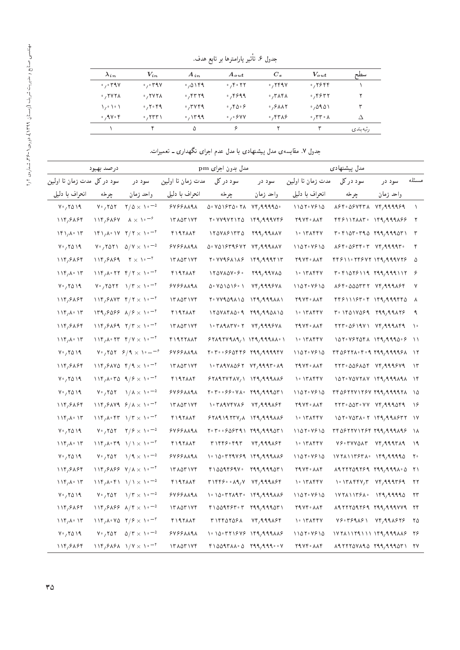| $\lambda_{in}$                     | $V_{in}$                                     | $A_{in}$       | $A_{out}$                     | $C_e$                                                                   | $V_{out}$              | سطح      |
|------------------------------------|----------------------------------------------|----------------|-------------------------------|-------------------------------------------------------------------------|------------------------|----------|
| $\cdot$ , $\cdot$ $\cdot$ 9 $\vee$ | $\circ$ , $\circ$ ۳۹ V                       | .0199          | 0.700                         | $\cdot$ , $\mathsf{Y}$ $\mathsf{Y}$ $\mathsf{Y}$                        | $\cdot$ , ۲۶۴۴         |          |
| $\cdot$ , ۲۷۲۸                     | $\cdot$ , ۲۷۲۸                               | , 57779        | $\cdot$ , ۴۶۹۹                | $\cdot$ , $\mathsf{r}$ $\mathsf{\Lambda} \mathsf{r}$ $\mathsf{\Lambda}$ | ٬٬۴۶۳۲                 |          |
| いいい                                | $\cdot$ , ۲ $\cdot$ ۴۹                       | $\cdot$ , ۳۷۴۹ | ۰٬۴۵۰۶                        | $\cdot$ , $\circ$ $\wedge\wedge\wedge$                                  | $^{\circ}$ ,0901       |          |
| $\cdot$ , 9 V $\cdot$ F            | $\cdot$ , $\mathsf{r}\mathsf{r}\mathsf{r}$ \ | $\cdot$ , ۱۳۹۹ | $\circ$ , $\circ$ $\circ$ Y Y | .7578                                                                   | $\cdot$ , ۳۳ $\cdot$ ۸ | Δ        |
|                                    | ۴                                            | Δ              | ç                             |                                                                         | ۳                      | رتبەبندى |

جدول ۷. مقایسه ی مدل پیشنهادی با مدل عدم اجرای نگهداری ــ تعمیرات.

|                                        | درصد بهبود                 |                                                                                                                                                                                                                                                                                                  |                   | مدل بدون اجرای pm                                                                                                                                                                                                                                                                                                                                                                                                                |                                                                                                                                                                                       |                                                                | مدل پیشنهادی                                                                                                                                                                      |           |                |
|----------------------------------------|----------------------------|--------------------------------------------------------------------------------------------------------------------------------------------------------------------------------------------------------------------------------------------------------------------------------------------------|-------------------|----------------------------------------------------------------------------------------------------------------------------------------------------------------------------------------------------------------------------------------------------------------------------------------------------------------------------------------------------------------------------------------------------------------------------------|---------------------------------------------------------------------------------------------------------------------------------------------------------------------------------------|----------------------------------------------------------------|-----------------------------------------------------------------------------------------------------------------------------------------------------------------------------------|-----------|----------------|
| سود دركل مدت زمان تا اولين             |                            | سود در                                                                                                                                                                                                                                                                                           | مدت زمان تا اولین | سو د در کل                                                                                                                                                                                                                                                                                                                                                                                                                       | سود در                                                                                                                                                                                | مدت زمان تا اولین                                              | سود در کل                                                                                                                                                                         | سود در    | مسئله          |
| انحراف با دليل                         | چرخه                       | واحد زمان                                                                                                                                                                                                                                                                                        | انحراف با دليل    | جرخه                                                                                                                                                                                                                                                                                                                                                                                                                             | واحد زمان                                                                                                                                                                             | انحراف با دلیل                                                 | چرخه                                                                                                                                                                              | واحد زمان |                |
| $V \cdot 7019$                         | $V \cdot / V \Delta V$     | $\frac{1}{2}$ $\sqrt{2}$ $\times$ $\sqrt{2}$ $\sqrt{2}$                                                                                                                                                                                                                                          | 9499111           | ۵۰ ۷۵۱۶۳۵۰ ۲۸                                                                                                                                                                                                                                                                                                                                                                                                                    | $Yf, 99990$ .                                                                                                                                                                         | 1107.7910                                                      | $\lambda$ ۶۴۰ $\Delta$ ۶۷۴۳ $\lambda$ $Vf$ , ۹۹۹۹۶۹                                                                                                                               |           | $\lambda$      |
| 114,81.84                              | 114,81.84                  | $\lambda \times \lambda$ <sup>o-<math>\lambda</math></sup>                                                                                                                                                                                                                                       | 171071Yf          | r · vvivrira                                                                                                                                                                                                                                                                                                                                                                                                                     | ۱۴۹٫۹۹۹۷۴۶                                                                                                                                                                            | <b>TAVF- AAF</b>                                               | $\mathfrak{f}\mathfrak{f}\mathfrak{S}\mathfrak{h}\mathfrak{h}\mathfrak{r}$ and $\mathfrak{h}\mathfrak{f}\mathfrak{h}\mathfrak{g}\mathfrak{h}\mathfrak{g}\mathfrak{h}\mathfrak{g}$ |           | $\mathsf{r}$   |
| $\binom{16}{16}$                       |                            | $\frac{181}{40}$ $\frac{100}{40}$ $\frac{100}{40}$ $\frac{100}{40}$ $\frac{100}{40}$ $\frac{100}{40}$ $\frac{100}{40}$ $\frac{100}{40}$                                                                                                                                                          | <b>FIRTAAF</b>    | ١٢٥٧٨۶١٣٣٥                                                                                                                                                                                                                                                                                                                                                                                                                       | 799,998AV                                                                                                                                                                             | ۱۰ ۱۳ ۸۴۴۷                                                     | $r \cdot r \cdot \Delta r \cdot r \cdot \Delta r \cdot r \cdot \Delta r \cdot \Delta r \cdot \Delta r$                                                                            |           | $\mathsf{r}$   |
| $V \cdot 7019$                         |                            | $V \cdot 7011 \quad 0/V \times 10^{-6}$                                                                                                                                                                                                                                                          | 88888198          | $\Delta$ . V $\Delta$ $\gamma$ P $\gamma$ 979 $\gamma$ V $\gamma$ , $\gamma$ 994 $\lambda$                                                                                                                                                                                                                                                                                                                                       |                                                                                                                                                                                       | 1107.7810                                                      | $\lambda$ ۶۴۰ $\Delta$ ۶۳۴۰ ۳ $\lambda$ ۴/ ۹۹۹۹ ۴۰                                                                                                                                |           | ۴              |
| 114,88.84                              |                            | $\lambda$ 114,989 $\lambda$ $\times$ $\lambda$ $\cdot$ $\lambda$ $\cdot$                                                                                                                                                                                                                         | YYA0YYYY          | 2011971176                                                                                                                                                                                                                                                                                                                                                                                                                       | ۱۴۹٫۹۹۹۴۱۳                                                                                                                                                                            | 7974 AAF                                                       | 88811.78977.7999777                                                                                                                                                               |           | Δ              |
| 11f/A.1f                               |                            | $\lambda$ $\lambda$ <sup>6</sup> $\lambda$ <sup>6</sup> $\lambda$ $\lambda$ <sup>6</sup> $\lambda$ <sup>6</sup> $\lambda$ <sup>6</sup> $\lambda$ <sup>6</sup>                                                                                                                                    | <b>FIRTAAF</b>    | $170Y\lambda\Delta V\cdot P\cdot$                                                                                                                                                                                                                                                                                                                                                                                                | 799,99780                                                                                                                                                                             | ۱۰ ۱۳ ۸۴۴۷                                                     | $T \cdot T \cdot \Delta T$ $5 \cdot 119$ $799,99911$                                                                                                                              |           |                |
| $V \cdot 7019$                         |                            | $V_{\cdot}$ , $V \circ V$ $V = V$                                                                                                                                                                                                                                                                | 9499AA9A          | ۵۰ ۷۵ ۱۵ ۱۶۰۱                                                                                                                                                                                                                                                                                                                                                                                                                    | <b>VF,9995VX</b>                                                                                                                                                                      | 1108.8810                                                      | ASY-QQQTTT VF, 999ASY                                                                                                                                                             |           | ٧              |
| 114,81.84                              |                            | $118,9447$ $8/7 \times 10^{-7}$                                                                                                                                                                                                                                                                  | 171071Yf          | 1. VY909110                                                                                                                                                                                                                                                                                                                                                                                                                      | $\left\{ \begin{array}{c} \gamma & \gamma & \gamma & \gamma & \gamma \\ \gamma & \gamma & \gamma & \gamma & \gamma \\ \gamma & \gamma & \gamma & \gamma & \gamma \end{array} \right.$ | <b>TAVF- AAF</b>                                               | $f(f)$ / $f(f)$ $f(f)$ / $f(f)$ / $f(f)$ $f(f)$                                                                                                                                   |           | - ^            |
| 119, A. 17                             |                            | $N^{4}/9099 N^{2} \times N^{-1}$                                                                                                                                                                                                                                                                 | ۴۱۹۲۸۸۴           | 170YA4A0.97799A10A10                                                                                                                                                                                                                                                                                                                                                                                                             |                                                                                                                                                                                       | ۱۰ ۱۳ ۸۴۴۷                                                     | $T^{\circ}$ \FQ\VQ&q \tqq,qq\t&                                                                                                                                                   |           | ٩              |
| 114,8884                               |                            | $118,9191$ $7/7 \times 10^{-4}$                                                                                                                                                                                                                                                                  | 171071Yf          |                                                                                                                                                                                                                                                                                                                                                                                                                                  | 74,999677                                                                                                                                                                             | <b>TAVF- AAF</b>                                               | $\gamma$                                                                                                                                                                          |           | $\lambda$      |
| 11f/A.1f                               |                            | $118, A \cdot 17$ $9/1 \times 10^{-1}$                                                                                                                                                                                                                                                           | <b>FIRTYANT</b>   | 571977919, 199799119917                                                                                                                                                                                                                                                                                                                                                                                                          |                                                                                                                                                                                       | ۱۰ ۱۳ ۸۴۴۷                                                     | $101.7727071$ $191.9910.9$                                                                                                                                                        |           | $\rightarrow$  |
| $V \cdot 7019$                         |                            | $V_{\nu}$ , $V \Delta Y$ $\beta / 9 \times V_{\nu} = -7$                                                                                                                                                                                                                                         | 9499111           |                                                                                                                                                                                                                                                                                                                                                                                                                                  |                                                                                                                                                                                       | ۱۱۵۲۰ ۷۶۱۵                                                     | $Tf \Delta 9777 \lambda \cdot f \cdot 9.799, 99999 \lambda$                                                                                                                       |           |                |
| 114,88.84                              |                            | $11f$ , $9AVA$ $f$ $/9 \times 10^{-7}$                                                                                                                                                                                                                                                           | 171071Yf          | $\left( \begin{array}{cc} 0 & \mathbf{1} & \mathbf{1} & \mathbf{1} & \mathbf{1} & \mathbf{1} & \mathbf{1} & \mathbf{1} & \mathbf{1} & \mathbf{1} & \mathbf{1} & \mathbf{1} & \mathbf{1} & \mathbf{1} & \mathbf{1} & \mathbf{1} & \mathbf{1} & \mathbf{1} & \mathbf{1} & \mathbf{1} & \mathbf{1} & \mathbf{1} & \mathbf{1} & \mathbf{1} & \mathbf{1} & \mathbf{1} & \mathbf{1} & \mathbf{1} & \mathbf{1} & \mathbf{1} & \mathbf{$ |                                                                                                                                                                                       | 7974 MAP                                                       | $\mathsf{Y}\mathsf{Y}\mathsf{Y}^{\mathsf{T}}\circ \Delta \Delta \mathsf{Y}$ and $\mathsf{Y}\mathsf{Y}$ , $\mathsf{Y}\mathsf{Y}\mathsf{Y}$                                         |           | $\lambda$ ۳    |
| $V \cdot 7019$                         |                            | $11f/A.$ TO $1/f \times 1.$                                                                                                                                                                                                                                                                      | ۴۱۹۲۸۸۴           | 57197VfAV, 1 1f9, 999A5                                                                                                                                                                                                                                                                                                                                                                                                          |                                                                                                                                                                                       | ۱۰ ۱۳۸۴۴۷                                                      |                                                                                                                                                                                   |           |                |
| $V \cdot 7019$                         | $V \cdot 707$              | $1/\lambda \times 1$ <sup>o-0</sup>                                                                                                                                                                                                                                                              | 9499111           | $T \cdot T \cdot \cdot \cdot 55 \cdot \text{VA} \cdot 799,9990 T$                                                                                                                                                                                                                                                                                                                                                                |                                                                                                                                                                                       | 1101.4910                                                      | $Tf\Delta F T T V T S V T 99,9997 K$                                                                                                                                              |           |                |
| 114,81.84                              |                            | $118,9149$ $9/\lambda \times 10^{-4}$                                                                                                                                                                                                                                                            | 171071Yf          |                                                                                                                                                                                                                                                                                                                                                                                                                                  | YF, 999A9F                                                                                                                                                                            | <b>TRYF</b> AAF                                                | $177.007.47$ $VY.999079$                                                                                                                                                          |           | $\lambda$      |
| $\mathcal{N}(\mathcal{K},\mathcal{K})$ |                            | $118, A.87$ $1/T \times 1.7$                                                                                                                                                                                                                                                                     | <b>FIRTAAF</b>    | $551111777,$ $\lambda$ $191.999$ $\lambda\lambda$                                                                                                                                                                                                                                                                                                                                                                                |                                                                                                                                                                                       | ۱۰ ۱۳۸۴۴۷                                                      | $\Delta$                                                                                                                                                                          |           | $\sqrt{}$      |
| $V \cdot 7019$                         | $V \cdot 707$              | $\frac{1}{2}$ $\frac{1}{2}$ $\frac{1}{2}$ $\frac{1}{2}$ $\frac{1}{2}$ $\frac{1}{2}$ $\frac{1}{2}$ $\frac{1}{2}$ $\frac{1}{2}$ $\frac{1}{2}$                                                                                                                                                      | 88888198          |                                                                                                                                                                                                                                                                                                                                                                                                                                  |                                                                                                                                                                                       | 1101.4910                                                      | ۳۴۵۶۲۲۷۱۲۶۴ ۲۹۹٫۹۹۹۸۹۶                                                                                                                                                            |           | <b>۱۸</b>      |
| $\mathcal{N}(\mathcal{K},\mathcal{K})$ |                            |                                                                                                                                                                                                                                                                                                  | ۴۱۹۲۸۸۴           | ۳۱۴۴۶۰۴۹۳                                                                                                                                                                                                                                                                                                                                                                                                                        | Yf, 99919f                                                                                                                                                                            | $\cdot$ $\uparrow$ $\uparrow$ $\uparrow$ $\uparrow$ $\uparrow$ | $V$ $\sim$ $V$ $V$ $V$ $\sim$ $V$ $\sim$ $V$ $\sim$ $V$ $\sim$ $V$ $\sim$ $V$ $\sim$ $V$ $\sim$ $V$ $\sim$ $V$ $\sim$ $V$                                                         |           | ۱۹             |
| $V \cdot 7019$                         | $V \cdot 707$              | $\sqrt{1 + \times 1}$                                                                                                                                                                                                                                                                            | 9499AA9A          | $\backslash \cdot \backslash \circ \cdot \mathsf{r}$ rand $\backslash \circ \circ \mathsf{r}$                                                                                                                                                                                                                                                                                                                                    |                                                                                                                                                                                       | 1107.7810                                                      | $\frac{1}{2}$                                                                                                                                                                     |           | $\mathsf{Y}$ . |
| 114,88.84                              |                            | $119,9199$ $V/\lambda \times 10^{-7}$                                                                                                                                                                                                                                                            | 171071Yf          | $Y \cap \Omega$                                                                                                                                                                                                                                                                                                                                                                                                                  |                                                                                                                                                                                       | 7974 AAF                                                       |                                                                                                                                                                                   |           | $\gamma$       |
| 11f/A.1f                               |                            |                                                                                                                                                                                                                                                                                                  | ۴۱۹۲۸۸۴           |                                                                                                                                                                                                                                                                                                                                                                                                                                  |                                                                                                                                                                                       | ۱۰ ۱۳ ۸۴۴۷                                                     |                                                                                                                                                                                   |           | ۲۲             |
| $V \cdot 7019$                         | $V^{\circ}$ , $V \circ V$  | $1/T \times 10^{-6}$                                                                                                                                                                                                                                                                             | 88888198          | $\lambda \cdot \lambda$ $\lambda \cdot \tau$ $\tau \wedge \lambda \tau$ , $\lambda \uparrow \tau$ , $\lambda \wedge \tau$                                                                                                                                                                                                                                                                                                        |                                                                                                                                                                                       | ۱۱۵۲۰ ۷۶۱۵                                                     | $\frac{1}{2}$                                                                                                                                                                     |           | ۲۳             |
| 114,8884                               |                            | $11f, 9A99 A/F \times 10^{-0}$                                                                                                                                                                                                                                                                   | 171071Yf          | $f1001f5f\cdot r$ $f11,1110f1$                                                                                                                                                                                                                                                                                                                                                                                                   |                                                                                                                                                                                       | 7974 MAP                                                       |                                                                                                                                                                                   |           | ۲۴             |
| $\mathcal{N}(\mathcal{K},\mathcal{K})$ |                            | $11f/A. VQ. Y/\ell \times 10^{-5}$                                                                                                                                                                                                                                                               | 4197884           | ۳۱۴۴۵۲۵۶۸                                                                                                                                                                                                                                                                                                                                                                                                                        | $Yf, 999\lambda$                                                                                                                                                                      | $\cdot$ $\uparrow$ $\uparrow$ $\uparrow$ $\uparrow$ $\uparrow$ | $V$ ۶۰۳۶۹۸۶۱ $V$ ۴,۹۹۸۶۲۶                                                                                                                                                         |           | ۲۵             |
| $V \cdot 7019$                         | $V^{\circ}$ , $V \Delta V$ | $\Delta/\Upsilon \times 1$ <sup>o-0</sup>                                                                                                                                                                                                                                                        | 88888198          | $\lambda \cdot \lambda$ $\lambda \cdot \tau$ $\tau \cdot \rho$ $\gamma \cdot \rho$ $\gamma$ $\gamma$ $\gamma$ $\gamma$ $\gamma$ $\gamma$                                                                                                                                                                                                                                                                                         |                                                                                                                                                                                       | ۱۱۵۲۰ ۷۶۱۵                                                     | 172111291111491991148                                                                                                                                                             |           | ۲۶             |
| 114,81.84                              |                            | $\frac{118}{9}$ / $\frac{1}{9}$ / $\frac{1}{10}$ / $\frac{1}{10}$ / $\frac{1}{10}$ / $\frac{1}{10}$ / $\frac{1}{10}$ / $\frac{1}{10}$ / $\frac{1}{10}$ / $\frac{1}{10}$ / $\frac{1}{10}$ / $\frac{1}{10}$ / $\frac{1}{10}$ / $\frac{1}{10}$ / $\frac{1}{10}$ / $\frac{1}{10}$ / $\frac{1}{10}$ / | 171071Yf          | $100017AA \cdot \Delta$ $111.111 \cdot \Delta$                                                                                                                                                                                                                                                                                                                                                                                   |                                                                                                                                                                                       | <b>TRYF</b> AAF                                                |                                                                                                                                                                                   |           |                |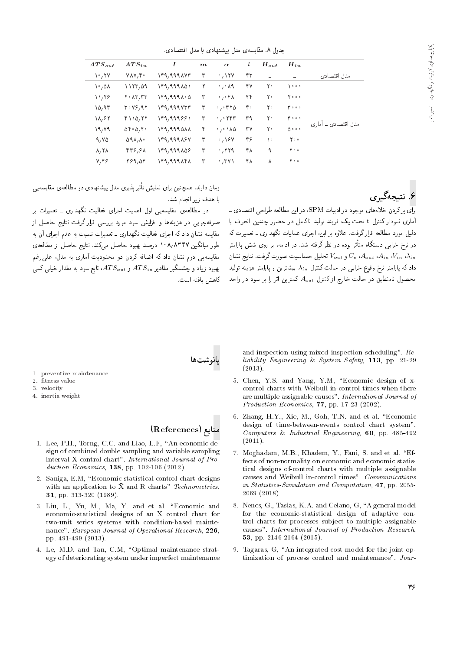حدول ٨. مقايسه ي مدل بيشنهادي يا مدل اقتصادي.

| $ATS_{out}$                 | $ATS_{in}$                                                   | Ι           | $\boldsymbol{m}$ | $\alpha$                                | ı  | $H_{out}$ | $H_{in}$              |                     |
|-----------------------------|--------------------------------------------------------------|-------------|------------------|-----------------------------------------|----|-----------|-----------------------|---------------------|
| ۲۰٫۲۷                       | VAV, F                                                       | ۱۴۹,۹۹۹۸۷۳  | ٣                | .154                                    | ۴۳ | ÷         |                       | مدل اقتصادي         |
| ۸۵٬۰۱                       | 1177,09                                                      | ۱۴۹,۹۹۹۸۵۱  | ٢                | $\cdot$ , $\cdot$ $\wedge$ 9            | ۴۷ | ٢٠        | ه ه ه (               |                     |
| ۱۱٬۲۶                       | $Y \cdot \lambda Y, YY$                                      | ۰۴۹٬۹۹۹۸۰۵  | ٣                | $\cdot$ , $\cdot$ f $\wedge$            | ۴۴ | ٢٠        | 7000                  |                     |
| ۱۵٬۹۳                       | $T \cdot V5.91$                                              | ۱۴۹٫۹۹۹۷۳۳  | ٣                | .00000                                  | ۴۰ | ۲۰        | ه ه ۳                 |                     |
| 18,85                       | $f \setminus Q, f \uparrow$                                  | 149,999881  | ٣                | $\cdot$ , $\cdot$ $\uparrow$ $\uparrow$ | ۳۹ | ٢٠        | $Y \circ \circ \circ$ |                     |
| 19, Y9                      | $\Delta \mathbf{f} \cdot \Delta \mathbf{f} \cdot \mathbf{f}$ | 149,999011  | ۴                | $\cdot$ , $\cdot$ \ $\wedge$ $\wedge$   | ٣٧ | ۲۰        | $\Delta$              | مدل اقتصادی ۔ آماری |
| 9,90                        | 09A/A                                                        | 149,999867  | ٣                | .18V                                    | ۴۶ | ١٠        | $Y \circ \circ$       |                     |
| $\lambda, \Upsilon \lambda$ | 44,474                                                       | 149,999856  | ٣                | .779                                    | ۴۸ | ٩         | $Y \circ \circ$       |                     |
| Y, Y                        | 789,04                                                       | ۱۴۹, ۹۹۹۸۴۸ | ٣                | .741                                    | ۴۸ | ۸         | $Y \circ \circ$       |                     |

# ۶. نتىچەگىرى

محصول نامنطبق در حالت خارج ازكنترل  $A_{out}$  كمترين اثر را بر سود در واحد كاهش يافته است.<br>. <sub>«</sub>إي بر كردن خلاءهاي موجود در إدبيات SPM، در اين مطالعه طراحي اقتصادي \_ آماری نمودار کنترل t تحت یک فرایند تولید ناکامل در حضور چندین انحراف با<br>دلیل مورد مطالعه قرارگرفت. علاوه بر این، اجرای عملیات نگهداری ـ تعمیرات که xm C=Q}taD |Q=Oyov C=}rta |=QH= 'u}= Q@ xwqa "CiQo Q=Qk xar=]t OQwt p}rO QDt=Q=B VW |wQ Q@ 'xt=O= QO "OW xDiQo Q\_v QO xOw@ QF در نرخ خرابی دستکاه متا<br>در مکمل ماه و  $V_{out}$  تحليل حساسيت صورت گرفت. نتايج نشان  $C_e$  ( $A_{out}$  ،  $V_{in}$  ،  $\lambda_{in}$ داد که پارلمتر نرخ وقوع خراببی در حالت کنترل  $\lambda_{in}$  بیشترین و پارلمتر هزینه تولید

زمان دارند. همچنین برای نمایش تاثیرپدیری مدل پیشنهادی دو مطالعهی مقایسهیی<br>استفاد استان است با هدف زیر انجام شد.<br>در مطالعهی مقایسهیی اول اهمیت اجرای فعالیت نگهداری ــ تعمیرات بر

صرفهجويي در هزينهها و افزايش سود مورد بررسي قرار گرفت نتايج حاصل از مقایسه نشان داد که اجرای فعالیت نگهداری ـ تعمیرات نسبت به عدم اجرای آن به مقایسه ستان داد ته اجرای فعالیت ندهداری ـ تعمیرات ستیت به عدم اجرای آن به<br>این مسابق منویس میستمدید طور میآیدین ۱۰۸٬۸۱۱۲ درصد بهبود حاصل می نید. بنایج حاصل از مطالعه ی<br>-ا مقایسه یی دوم نشان داد که اضافه کردن دو محدودیت آماری به مدل، علی رغم یهبود زیاد و چشمگیر مقادیر  $ATS_{out}$  و  $ATS_{out}$ ، تابع سود به مقدار خیلمی کمبی

انوشت ها

- 1. preventive maintenance
- 2. fitness value
- 3. velocity
- 4. inertia weight

### منابع (References)

- 1. Lee, P.H., Torng, C.C. and Liao, L.F, "An economic design of combined double sampling and variable sampling interval X control chart". International Journal of Production Economics, **138**, pp. 102-106 (2012).
- 2. Saniga, E.M. "Economic statistical control-chart designs with an application to  $\bar{X}$  and R charts" Technometrics, 31, pp. 313-320 (1989).
- 3. Liu, L., Yu, M., Ma, Y. and et al. \Economic and economic-statistical designs of an X control chart for two-unit series systems with condition-based maintenance". European Journal of Operational Research, 226, pp. 491-499 (2013).
- 4. Le, M.D. and Tan, C.M, "Optimal maintenance strategy of deteriorating system under imperfect maintenance

and inspection using mixed inspection scheduling". Reliability Engineering & System Safety, 113, pp. 21-29 (2013).

- 5. Chen, Y.S. and Yang, Y.M, "Economic design of xcontrol charts with Weibull in-control times when there are multiple assignable causes". International Journal of Production Economics, 77, pp. 17-23 (2002).
- 6. Zhang, H.Y., Xie, M., Goh, T.N. and et al. "Economic design of time-between-events control chart system". Computers & Industrial Engineering, 60, pp. 485-492  $(2011).$
- 7. Moghadam, M.B., Khadem, Y., Fani, S. and et al. "Effects of non-normality on economic and economic statistical designs of-control charts with multiple assignable causes and Weibull in-control times". Communications in Statistics-Simulation and Computation, 47, pp. 2055- 2069 (2018).
- 8. Nenes, G., Tasias, K.A. and Celano, G. "A general model for the economic-statistical design of adaptive control charts for processes subject to multiple assignable causes". International Journal of Production Research, 53, pp. 2146-2164 (2015).
- 9. Tagaras, G, "An integrated cost model for the joint optimization of process control and maintenance". Jour-